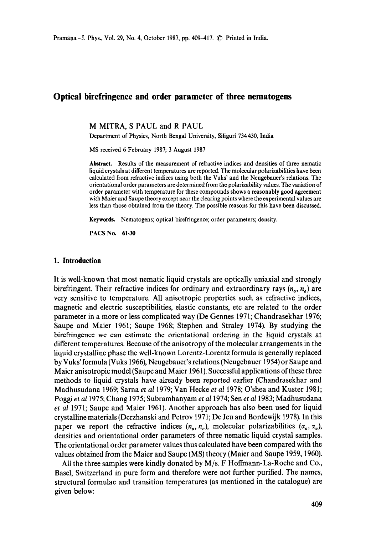# **Optical birefringence and order parameter of three nematogens**

M MITRA, S PAUL and R PAUL

Department of Physics, North Bengal University, Siliguri 734 430, India

MS received 6 February 1987; 3 August 1987

**Abstract.** Results of the measurement of refractive indices and densities of three nematic liquid crystals at different temperatures are reported. The molecular polarizabilities have been calculated from refractive indices using both the Vuks' and the Neugebauer's relations. The orientational order parameters are determined from the polarizability values. The variation of order parameter with temperature for these compounds shows a reasonably good agreement with Maier and Saupe theory except near the clearing points where the experimental values are less than those obtained from the theory. The possible reasons for this have been discussed.

Keywords. Nematogens; optical birefringence; order parameters; density.

PACS No. 61.30

### **1. Introduction**

It is well-known that most nematic liquid crystals are optically uniaxial and strongly birefringent. Their refractive indices for ordinary and extraordinary rays  $(n_a, n_e)$  are very sensitive to temperature. All anisotropic properties such as refractive indices, magnetic and electric susceptibilities, elastic constants, etc are related to the order parameter in a more or less complicated way (De Gennes 1971; Chandrasekhar 1976; Saupe and Maier 1961; Saupe 1968; Stephen and Straley 1974). By studying the birefringence we can estimate the orientational ordering in the liquid crystals at different temperatures. Because of the anisotropy of the molecular arrangements in the liquid crystalline phase the well-known Lorentz-Lorentz formula is generally replaced by Vuks' formula (Vuks 1966), Neugebauer's relations (Neugebauer 1954) or Saupe and Maier anisotropic model (Saupe and Maier 1961). Successful applications of these three methods to liquid crystals have already been reported earlier (Chandrasekhar and Madhusudana 1969; Sarna *et al* 1979; Van Hecke *et al* 1978; O'shea and Kuster 1981; Poggi *et a11975;* Chang 1975; Subramhanyam *et a11974;* Sen *et a11983;* Madhusudana *et al* 1971; Saupe and Maier 1961). Another approach has also been used for liquid crystalline materials (Derzhanski and Petrov 1971; De Jeu and Bordewijk 1978). In this paper we report the refractive indices  $(n_o, n_e)$ , molecular polarizabilities  $(\alpha_o, \alpha_e)$ , densities and orientational order parameters of three nematic liquid crystal samples. The orientational order parameter values thus calculated have been compared with the values obtained from the Maier and Saupe (MS) theory (Maier and Saupe 1959, 1960).

All the three samples were kindly donated by M/s. F Hoffmann-La-Roche and Co., Basel, Switzerland in pure form and therefore were not further purified. The names, structural formulae and transition temperatures (as mentioned in the catalogue) are given below: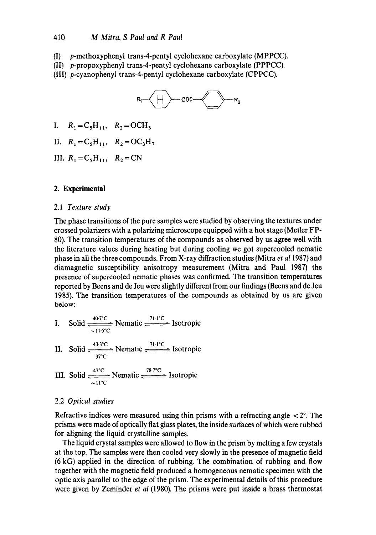(I) p-methoxyphenyl trans-4-pentyl cyclohexane carboxylate (MPPCC).

(II) p-propoxyphenyl trans-4-pentyl cyclohexane carboxylate (PPPCC).

(III) p-cyanophenyl trans-4-pentyl cyclohexane carboxylate (CPPCC).



- I.  $R_1 = C_5H_{11}$ ,  $R_2 = OCH_3$
- II.  $R_1 = C_5H_{11}$ ,  $R_2 = OC_3H_7$
- III.  $R_1 = C_5H_{11}$ ,  $R_2 = CN$

## **2. Experimental**

#### 2.1 *Texture study*

The phase transitions of the pure samples were studied by observing the textures under crossed polarizers with a polarizing microscope equipped with a hot stage (Metier FP-80). The transition temperatures of the compounds as observed by us agree well with the literature values during heating but during cooling we got supercooled nematic phase in all the three compounds. From X-ray diffraction studies (Mitra *et al* 1987) and diamagnetic susceptibility anisotropy measurement (Mitra and Paul 1987) the presence of supercooled nematic phases was confirmed. The transition temperatures reported by Beens and de Jeu were slightly different from our findings (Beens and de Jeu 1985). The transition temperatures of the compounds as obtained by us are given below:

I. Solid 
$$
\frac{407^{\circ}\text{C}}{11.5^{\circ}\text{C}}
$$
 Nematic  $\frac{71.1^{\circ}\text{C}}{11.5^{\circ}\text{C}}$  Isotropic

II. Solid 
$$
\frac{43.3^{\circ}\text{C}}{37^{\circ}\text{C}}
$$
 Nematic  $\frac{71.1^{\circ}\text{C}}{57^{\circ}\text{C}}$  Isotropic

III. Solid  $\frac{47^{\circ}\text{C}}{\text{20}}$  Nematic  $\frac{78.7^{\circ}\text{C}}{\text{20}}$  Isotropic  $11^{\circ}\text{C}$ 

#### 2.2 *Optical studies*

Refractive indices were measured using thin prisms with a refracting angle  $\langle 2^{\circ} \rangle$ . The prisms were made of optically fiat glass plates, the inside surfaces of which were rubbed for aligning the liquid crystalline samples.

The liquid crystal samples were allowed to flow in the prism by melting a few crystals at the top. The samples were then cooled very slowly in the presence of magnetic field (6 kG) applied in the direction of rubbing. The combination of rubbing and flow together with the magnetic field produced a homogeneous nematic specimen with the optic axis parallel to the edge of the prism. The experimental details of this procedure were given by Zeminder *et al* (1980). The prisms were put inside a brass thermostat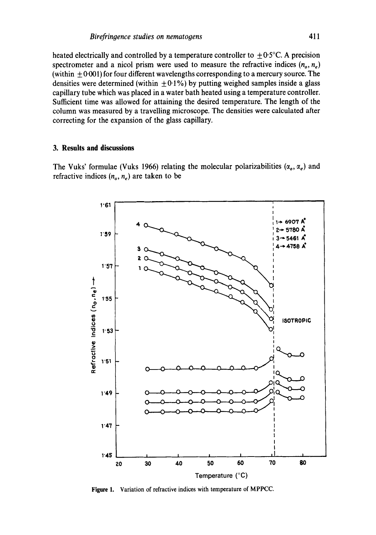heated electrically and controlled by a temperature controller to  $\pm 0.5^{\circ}$ C. A precision spectrometer and a nicol prism were used to measure the refractive indices  $(n_0, n_e)$ (within  $\pm 0.001$ ) for four different wavelengths corresponding to a mercury source. The densities were determined (within  $\pm 0.1\%$ ) by putting weighed samples inside a glass capillary tube which was placed in a water bath heated using a temperature controller. Sufficient time was allowed for attaining the desired temperature. The length of the column was measured by a travelling microscope. The densities were calculated after correcting for the expansion of the glass capillary.

# **3. Results and discussions**

The Vuks' formulae (Vuks 1966) relating the molecular polarizabilities  $(\alpha_o, \alpha_e)$  and refractive indices  $(n_a, n_e)$  are taken to be



**Figure** 1. Variation of refractive indices with temperature of MPPCC.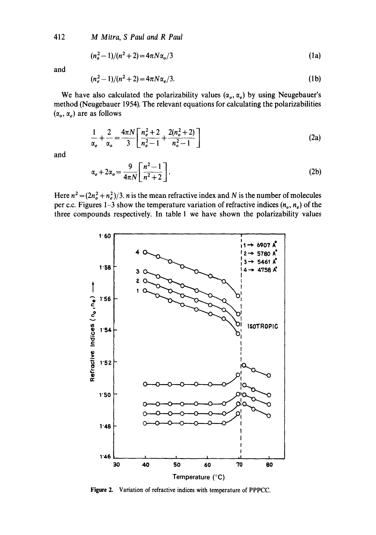412 *M Mitra, S Paul and R Paul* 

$$
(n_o^2 - 1)/(n^2 + 2) = 4\pi N \alpha_o / 3
$$
 (1a)

and

$$
(n_e^2 - 1)/(n^2 + 2) = 4\pi N \alpha_e / 3. \tag{1b}
$$

We have also calculated the polarizability values  $(\alpha_o, \alpha_e)$  by using Neugebauer's method (Neugebauer 1954). The relevant equations for calculating the polarizabilities  $(\alpha_o, \alpha_e)$  are as follows

$$
\frac{1}{\alpha_e} + \frac{2}{\alpha_o} = \frac{4\pi N}{3} \left[ \frac{n_e^2 + 2}{n_e^2 - 1} + \frac{2(n_o^2 + 2)}{n_o^2 - 1} \right]
$$
(2a)

and

$$
\alpha_e + 2\alpha_o = \frac{9}{4\pi N} \left[ \frac{n^2 - 1}{n^2 + 2} \right].
$$
 (2b)

Here  $n^2 = (2n_o^2 + n_e^2)/3$ . *n* is the mean refractive index and N is the number of molecules per c.c. Figures 1-3 show the temperature variation of refractive indices  $(n_0, n_e)$  of the three compounds respectively. In table 1 we have shown the polarizability values



**Figure** 2. Variation of refractive indices with temperature of PPPCC.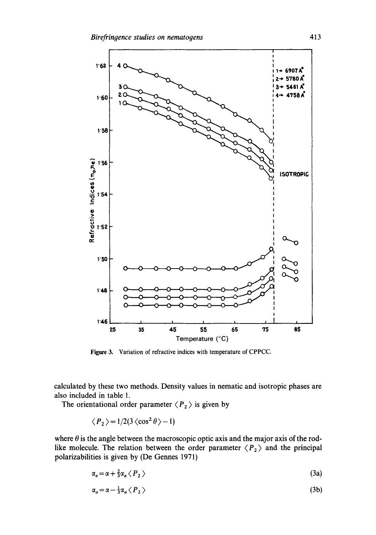

Figure 3. Variation of refractive indices with temperature of CPPCC.

calculated by these two methods. Density values in nematic and isotropic phases are also included in table 1.

The orientational order parameter  $\langle P_2 \rangle$  is given by

$$
\langle P_2 \rangle = 1/2(3 \langle \cos^2 \theta \rangle - 1)
$$

where  $\theta$  is the angle between the macroscopic optic axis and the major axis of the rodlike molecule. The relation between the order parameter  $\langle P_2 \rangle$  and the principal polarizabilities is given by (De Gennes 1971)

$$
\alpha_e = \alpha + \frac{2}{3} \alpha_a \langle P_2 \rangle \tag{3a}
$$

$$
\alpha_o = \alpha - \frac{1}{3} \alpha_a \langle P_2 \rangle \tag{3b}
$$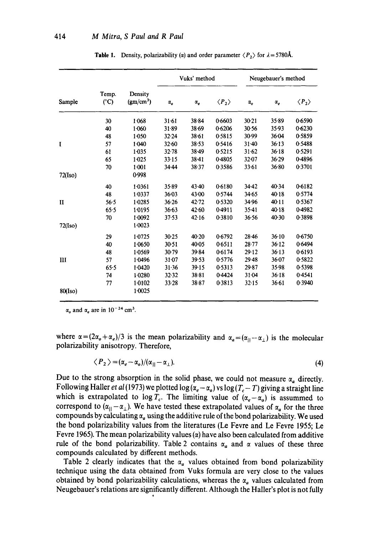| Sample       | Temp.<br>$(^{\circ}C)$ | Density<br>(gm/cm <sup>3</sup> ) | Vuks' method |            |                       | Neugebauer's method |            |                       |
|--------------|------------------------|----------------------------------|--------------|------------|-----------------------|---------------------|------------|-----------------------|
|              |                        |                                  | $\alpha_o$   | $\alpha_e$ | $\langle P_2 \rangle$ | $\alpha_o$          | $\alpha_e$ | $\langle P_2 \rangle$ |
|              | 30                     | 1.068                            | 31.61        | 38.84      | 0.6603                | $30 - 21$           | 35.89      | 0.6590                |
|              | 40                     | 1.060                            | 31.89        | 38.69      | 0.6206                | 30.56               | 35.93      | 0.6230                |
|              | 48                     | 1.050                            | $32 - 24$    | $38 - 61$  | 0.5815                | 30-99               | 36.04      | 0.5859                |
| $\mathbf I$  | 57                     | 1.040                            | $32 - 60$    | 38.53      | 0.5416                | $31 - 40$           | 36:13      | 0.5488                |
|              | 61                     | 1.035                            | $32 - 78$    | $38 - 49$  | 0.5215                | 31.62               | $36 - 18$  | 0.5291                |
|              | 65                     | $1-025$                          | $33 - 15$    | 38.41      | 0.4805                | $32 - 07$           | 36.29      | 0.4896                |
|              | 70                     | 1:001                            | 34.44        | 38.37      | 0.3586                | 33.61               | 36.80      | 0.3701                |
| 72(Iso)      |                        | 0.998                            |              |            |                       |                     |            |                       |
|              | 40                     | 1.0361                           | 35.89        | 43.40      | 0.6180                | $34 - 42$           | 40.34      | 0.6182                |
|              | 48                     | 1.0337                           | $36 - 03$    | 43.00      | 0.5744                | 34.65               | 40.18      | 0.5774                |
| $\mathbf{I}$ | 56.5                   | $1 - 0285$                       | 36.26        | 42.72      | 0.5320                | 34.96               | 40.11      | 0.5367                |
|              | 65.5                   | 1.0195                           | $36 - 63$    | 42.60      | 0.4911                | $35-41$             | 40.18      | 0.4982                |
|              | 70                     | 1.0092                           | 37.53        | 42.16      | 0.3810                | 36.56               | $40-30$    | 0.3898                |
| 72(Iso)      |                        | $1 - 0023$                       |              |            |                       |                     |            |                       |
|              | 29                     | 1.0725                           | 30.25        | 40.20      | 0.6792                | $28 - 46$           | $36 - 10$  | 0.6750                |
|              | 40                     | 1.0650                           | $30 - 51$    | 40.05      | 0.6511                | $28 - 77$           | 36.12      | 0.6494                |
|              | 48                     | $1-0.569$                        | $30-79$      | 39.84      | 0.6174                | 29.12               | 36.13      | 0.6193                |
| Ш            | 57                     | 1.0496                           | 31.07        | 39.53      | 0.5776                | 29.48               | 36.07      | 0.5822                |
|              | 65.5                   | 1.0420                           | 31.36        | 39.15      | 0.5313                | 29.87               | 35.98      | 0.5398                |
|              | 74                     | 1.0280                           | $32 - 32$    | $38 - 81$  | 0.4424                | 31.04               | $36 - 18$  | 0.4541                |
|              | 77                     | $1-0102$                         | $33 - 28$    | 38.87      | 0.3813                | 32.15               | 36.61      | 0.3940                |
| 80(Iso)      |                        | $1 - 0025$                       |              |            |                       |                     |            |                       |

**Table 1.** Density, polarizability ( $\alpha$ ) and order parameter  $\langle P_2 \rangle$  for  $\lambda = 5780\text{\AA}$ .

 $\alpha_o$  and  $\alpha_e$  are in 10<sup>-24</sup> cm<sup>3</sup>.

where  $\alpha = (2\alpha_o + \alpha_e)/3$  is the mean polarizability and  $\alpha_a = (\alpha_{||}-\alpha_{||})$  is the molecular polarizability anisotropy. Therefore,

$$
\langle P_2 \rangle = (\alpha_e - \alpha_o) / (\alpha_{||} - \alpha_{\perp}). \tag{4}
$$

Due to the strong absorption in the solid phase, we could not measure  $\alpha_a$  directly. Following Haller *et al* (1973) we plotted  $\log(\alpha_e - \alpha_o)$  vs  $\log(T_c - T)$  giving a straight line which is extrapolated to log  $T_c$ . The limiting value of  $(\alpha_e - \alpha_o)$  is assummed to correspond to  $(\alpha_{11}-\alpha_+)$ . We have tested these extrapolated values of  $\alpha_a$  for the three compounds by calculating  $\alpha_a$  using the additive rule of the bond polarizability. We used the bond polarizability values from the literatures (Le Fevre and Le Fevre 1955; Le Fevre 1965). The mean polarizability values  $(\alpha)$  have also been calculated from additive rule of the bond polarizability. Table 2 contains  $\alpha_a$  and  $\alpha$  values of these three compounds calculated by different methods.

Table 2 clearly indicates that the  $\alpha_a$  values obtained from bond polarizability technique using the data obtained from Vuks formula are very close to the values obtained by bond polarizability calculations, whereas the  $\alpha_a$  values calculated from Neugebauer's relations are significantly different. Although the Haller's plot is not fully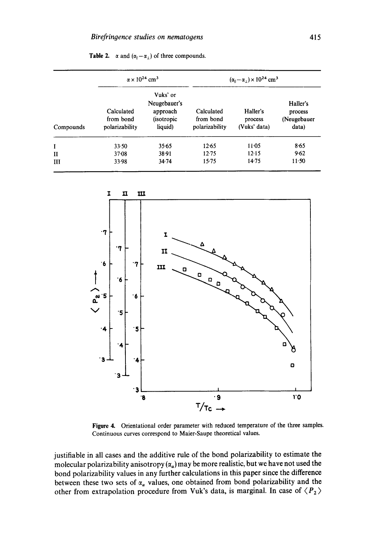|              |                                           | $\alpha \times 10^{24}$ cm <sup>3</sup>                               | $(\alpha_{\parallel} - \alpha_{\perp}) \times 10^{24}$ cm <sup>3</sup> |                                     |                                             |  |  |
|--------------|-------------------------------------------|-----------------------------------------------------------------------|------------------------------------------------------------------------|-------------------------------------|---------------------------------------------|--|--|
| Compounds    | Calculated<br>from bond<br>polarizability | Vuks' or<br>Neugebauer's<br>approach<br><i>(isotropic)</i><br>liquid) | Calculated<br>from bond<br>polarizability                              | Haller's<br>process<br>(Vuks' data) | Haller's<br>process<br>(Neugebauer<br>data) |  |  |
| I            | 33.50                                     | 35.65                                                                 | 12.65                                                                  | 11:05                               | 8.65                                        |  |  |
| $\mathbf{I}$ | $37 - 08$                                 | 38.91                                                                 | 12.75                                                                  | 12.15                               | 9.62                                        |  |  |
| ш            | 33.98                                     | 34.74                                                                 | 15.75                                                                  | 14.75                               | $11 - 50$                                   |  |  |

**Table 2.**  $\alpha$  and  $(\alpha_{\parallel}-\alpha_{\perp})$  of three compounds.



Figure 4. Orientational order parameter with reduced temperature of the three samples. Continuous curves correspond to Maier-Saupe theoretical values.

justifiable in all cases and the additive rule of the bond polarizability to estimate the molecular polarizability anisotropy  $(\alpha_a)$  may be more realistic, but we have not used the bond polarizability values in any further calculations in this paper since the difference between these two sets of  $\alpha_a$  values, one obtained from bond polarizability and the other from extrapolation procedure from Vuk's data, is marginal. In case of  $\langle P_2 \rangle$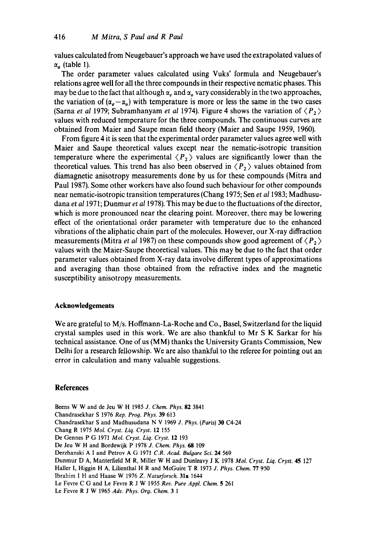values calculated from Neugebauer's approach we have used the extrapolated values of  $\alpha_a$  (table 1).

The order parameter values calculated using Vuks' formula and Neugebauer's relations agree well for all the three compounds in their respective nematic phases. This may be due to the fact that although  $\alpha_e$  and  $\alpha_o$  vary considerably in the two approaches, the variation of  $(\alpha_e - \alpha_o)$  with temperature is more or less the same in the two cases (Sarna *et al* 1979; Subramhanyam *et al* 1974). Figure 4 shows the variation of  $\langle P_2 \rangle$ values with reduced temperature for the three compounds. The continuous curves are obtained from Maier and Saupe mean field theory (Maier and Saupe 1959, 1960).

From figure 4 it is seen that the experimental order parameter values agree well with Maier and Saupe theoretical values except near the nematic-isotropic transition temperature where the experimental  $\langle P_2 \rangle$  values are significantly lower than the theoretical values. This trend has also been observed in  $\langle P_2 \rangle$  values obtained from diamagnetic anisotropy measurements done by us for these compounds (Mitra and Paul 1987). Some other workers have also found such behaviour for other compounds near nematic-isotropic transition temperatures (Chang 1975; Sen *et al* 1983; Madhusudana *et al* 1971; Dunmur *et a11978).* This may be due to the fluctuations of the director, which is more pronounced near the clearing point. Moreover, there may be lowering effect of the orientational order parameter with temperature due to the enhanced vibrations of the aliphatic chain part of the molecules. However, our X-ray diffraction measurements (Mitra *et al* 1987) on these compounds show good agreement of  $\langle P_2 \rangle$ values with the Maier-Saupe theoretical values. This may be due to the fact that order parameter values obtained from X-ray data involve different types of approximations and averaging than those obtained from the refractive index and the magnetic susceptibility anisotropy measurements.

### **Acknowledgements**

We are grateful to M/s. Hoffmann-La-Roche and Co., Basel, Switzerland for the liquid crystal samples used in this work. We are also thankful to Mr S K Sarkar for his technical assistance. One of us (MM) thanks the University Grants Commission, New Delhi for a research fellowship. We are also thankful to the referee for pointing out an error in calculation and many valuable suggestions.

#### **References**

Beens W W and de Jeu W H 1985 *J. Chem. Phys.* 82 3841 Chandrasekhar S 1976 *Rep. Pro9. Phys.* 39 613 Chandrasekhar S and Madhusudana N V 1969 *J. Phys. (Paris)* 30 C4-24 Chang R 1975 *Mol. Cryst. Liq. Cryst.* 12 155 De Gennes P G 1971 *Mol. Cryst. Liq. Cryst.* 12 193 De Jeu W H and Bordewijk P 1978 *J. Chem. Phys. 68* 109 Derzhanski A I and Petrov A G 1971 C.R. Acad. Bulgare Sci. 24 569 Dunmur D A, Manterfield M R, Miller W H and Dunleavy J K 1978 *Mol. Cryst. Liq. Cryst.* 45 127 Hailer I, Higgin H A, Lilienthal H R and McGuire T R 1973 *J. Phys. Chem.* 77 950 Ibrahim I H and Haase W 1976 *Z. Naturforsch.* 31a 1644 Le Fevre C G and Le Fevre R J W 1955 *Rev. Pure Appl. Chem.* 5 261 Le Fevre R J W 1965 *Adv. Phys. Org. Chem.* 3 1